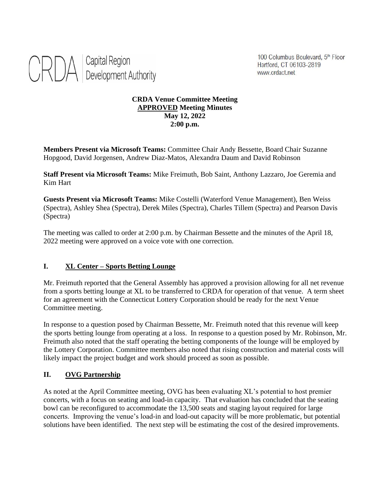

100 Columbus Boulevard, 5th Floor Hartford, CT 06103-2819 www.crdact.net

#### **CRDA Venue Committee Meeting APPROVED Meeting Minutes May 12, 2022 2:00 p.m.**

**Members Present via Microsoft Teams:** Committee Chair Andy Bessette, Board Chair Suzanne Hopgood, David Jorgensen, Andrew Diaz-Matos, Alexandra Daum and David Robinson

**Staff Present via Microsoft Teams:** Mike Freimuth, Bob Saint, Anthony Lazzaro, Joe Geremia and Kim Hart

**Guests Present via Microsoft Teams:** Mike Costelli (Waterford Venue Management), Ben Weiss (Spectra), Ashley Shea (Spectra), Derek Miles (Spectra), Charles Tillem (Spectra) and Pearson Davis (Spectra)

The meeting was called to order at 2:00 p.m. by Chairman Bessette and the minutes of the April 18, 2022 meeting were approved on a voice vote with one correction.

### **I. XL Center – Sports Betting Lounge**

Mr. Freimuth reported that the General Assembly has approved a provision allowing for all net revenue from a sports betting lounge at XL to be transferred to CRDA for operation of that venue. A term sheet for an agreement with the Connecticut Lottery Corporation should be ready for the next Venue Committee meeting.

In response to a question posed by Chairman Bessette, Mr. Freimuth noted that this revenue will keep the sports betting lounge from operating at a loss. In response to a question posed by Mr. Robinson, Mr. Freimuth also noted that the staff operating the betting components of the lounge will be employed by the Lottery Corporation. Committee members also noted that rising construction and material costs will likely impact the project budget and work should proceed as soon as possible.

# **II. OVG Partnership**

As noted at the April Committee meeting, OVG has been evaluating XL's potential to host premier concerts, with a focus on seating and load-in capacity. That evaluation has concluded that the seating bowl can be reconfigured to accommodate the 13,500 seats and staging layout required for large concerts. Improving the venue's load-in and load-out capacity will be more problematic, but potential solutions have been identified. The next step will be estimating the cost of the desired improvements.